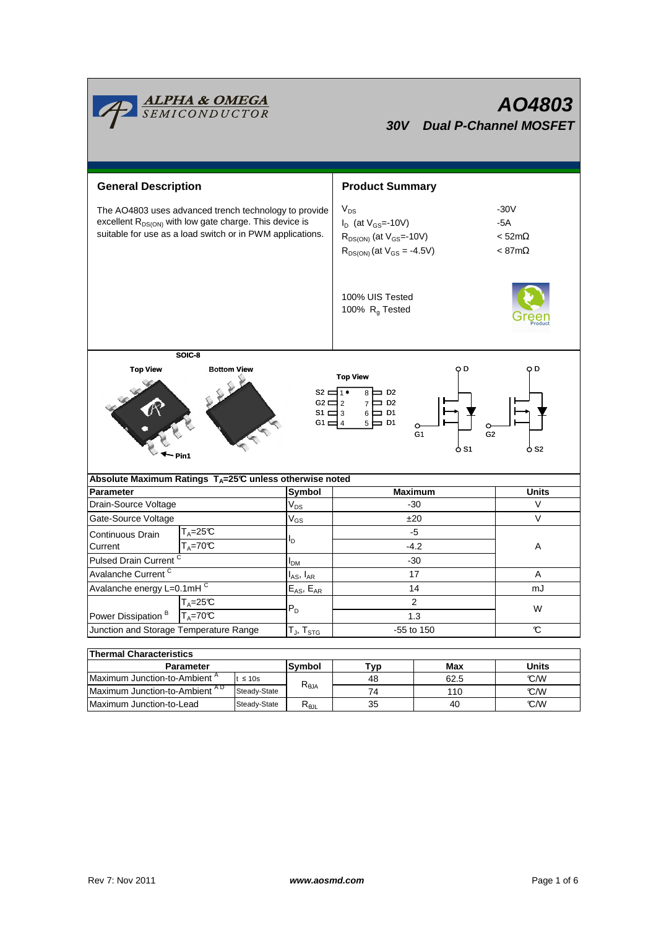| <b>ALPHA &amp; OMEGA</b><br>SEMICONDUCTOR<br>AO4803<br>30V Dual P-Channel MOSFET                                                                                                                                                                                  |                                                          |              |                            |                                                                                                                    |                                                  |              |  |  |  |  |  |  |
|-------------------------------------------------------------------------------------------------------------------------------------------------------------------------------------------------------------------------------------------------------------------|----------------------------------------------------------|--------------|----------------------------|--------------------------------------------------------------------------------------------------------------------|--------------------------------------------------|--------------|--|--|--|--|--|--|
| <b>General Description</b>                                                                                                                                                                                                                                        |                                                          |              |                            | <b>Product Summary</b>                                                                                             |                                                  |              |  |  |  |  |  |  |
| The AO4803 uses advanced trench technology to provide<br>excellent R <sub>DS(ON)</sub> with low gate charge. This device is<br>suitable for use as a load switch or in PWM applications.                                                                          |                                                          |              |                            | $V_{DS}$<br>$I_D$ (at $V_{GS}$ =-10V)<br>$R_{DS(ON)}$ (at $V_{GS} = -10V$ )<br>$R_{DS(ON)}$ (at $V_{GS} = -4.5V$ ) | -30V<br>-5A<br>$<$ 52m $\Omega$<br>$< 87m\Omega$ |              |  |  |  |  |  |  |
|                                                                                                                                                                                                                                                                   |                                                          |              |                            | 100% UIS Tested<br>100% $R_g$ Tested                                                                               |                                                  |              |  |  |  |  |  |  |
| SOIC-8                                                                                                                                                                                                                                                            |                                                          |              |                            |                                                                                                                    |                                                  |              |  |  |  |  |  |  |
| <b>Top View</b><br><b>Bottom View</b><br>o D<br>o D<br><b>Top View</b><br>s2 ⊏1 •<br>⊨ ¤<br>8<br>$G2 \square 2$<br>$\Box$ D2<br>S1 $\Box$ 3<br>$6 \Box$ D1<br>G1 $\equiv$ 4<br>$5 \Box$ D1<br>$\circ$<br>G <sub>2</sub><br>G <sub>1</sub><br>o S1<br>o s2<br>Pin1 |                                                          |              |                            |                                                                                                                    |                                                  |              |  |  |  |  |  |  |
| Absolute Maximum Ratings T <sub>A</sub> =25℃ unless otherwise noted                                                                                                                                                                                               |                                                          |              |                            |                                                                                                                    |                                                  |              |  |  |  |  |  |  |
| Parameter                                                                                                                                                                                                                                                         |                                                          |              | Symbol                     | <b>Maximum</b>                                                                                                     | <b>Units</b>                                     |              |  |  |  |  |  |  |
| Drain-Source Voltage                                                                                                                                                                                                                                              |                                                          |              | $\mathsf{V}_{\mathsf{DS}}$ | -30<br>±20                                                                                                         |                                                  | V            |  |  |  |  |  |  |
| Gate-Source Voltage                                                                                                                                                                                                                                               |                                                          |              | $V_{GS}$                   |                                                                                                                    | V                                                |              |  |  |  |  |  |  |
| Continuous Drain<br>Current                                                                                                                                                                                                                                       | $T_A = 25C$<br>$T_A = 70^\circ C$                        |              | ΙD                         | -5<br>$-4.2$                                                                                                       |                                                  | Α            |  |  |  |  |  |  |
| Pulsed Drain Current <sup>C</sup>                                                                                                                                                                                                                                 |                                                          |              | I <sub>DM</sub>            | $-30$                                                                                                              |                                                  |              |  |  |  |  |  |  |
| Avalanche Current <sup>C</sup>                                                                                                                                                                                                                                    |                                                          |              | $I_{AS}$ , $I_{AR}$        | 17                                                                                                                 |                                                  | Α            |  |  |  |  |  |  |
| Avalanche energy L=0.1mHC                                                                                                                                                                                                                                         |                                                          |              | $E_{AS}$ , $E_{AR}$        | 14                                                                                                                 | mJ                                               |              |  |  |  |  |  |  |
| $T_A = 25C$<br>Power Dissipation <sup>B</sup><br>$T_A = 70^\circ C$                                                                                                                                                                                               |                                                          |              | $P_D$                      | $\overline{2}$<br>1.3                                                                                              | W                                                |              |  |  |  |  |  |  |
| Junction and Storage Temperature Range                                                                                                                                                                                                                            |                                                          |              | $T_{J}$ , $T_{STG}$        |                                                                                                                    | -55 to 150                                       | $\mathbf C$  |  |  |  |  |  |  |
|                                                                                                                                                                                                                                                                   |                                                          |              |                            |                                                                                                                    |                                                  |              |  |  |  |  |  |  |
| <b>Thermal Characteristics</b>                                                                                                                                                                                                                                    |                                                          |              |                            |                                                                                                                    |                                                  |              |  |  |  |  |  |  |
| Parameter                                                                                                                                                                                                                                                         |                                                          |              | Symbol                     | <b>Typ</b>                                                                                                         | <b>Max</b>                                       | <b>Units</b> |  |  |  |  |  |  |
|                                                                                                                                                                                                                                                                   | Maximum Junction-to-Ambient <sup>A</sup><br>$t \leq 10s$ |              | $R_{\theta JA}$            | 48                                                                                                                 | 62.5                                             | °C/W         |  |  |  |  |  |  |
| Maximum Junction-to-Ambient AD                                                                                                                                                                                                                                    |                                                          | Steady-State |                            | 74                                                                                                                 | 110                                              | °C/W         |  |  |  |  |  |  |

'n

Maximum Junction-to-Lead Steady-State R<sub>θJL</sub> 35 40 C/W

35

40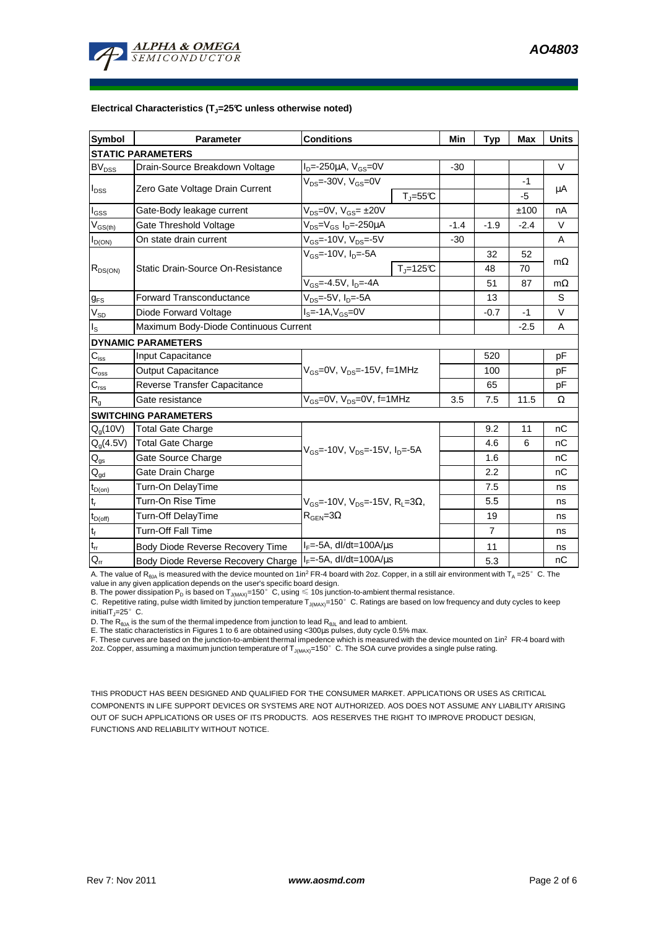

#### **Electrical Characteristics (TJ=25°C unless otherwise noted)**

| <b>Symbol</b>                           | <b>Parameter</b>                                                      | <b>Conditions</b>                                                                                          |                                   | Min            | <b>Typ</b> | Max    | <b>Units</b> |  |  |  |  |  |
|-----------------------------------------|-----------------------------------------------------------------------|------------------------------------------------------------------------------------------------------------|-----------------------------------|----------------|------------|--------|--------------|--|--|--|--|--|
| <b>STATIC PARAMETERS</b>                |                                                                       |                                                                                                            |                                   |                |            |        |              |  |  |  |  |  |
| <b>BV<sub>DSS</sub></b>                 | Drain-Source Breakdown Voltage                                        | $I_{D} = -250 \mu A$ , $V_{GS} = 0V$                                                                       |                                   | $-30$          |            |        | $\vee$       |  |  |  |  |  |
| $I_{\text{DSS}}$                        | Zero Gate Voltage Drain Current                                       | $V_{DS}$ =-30V, $V_{GS}$ =0V                                                                               |                                   |                |            | $-1$   |              |  |  |  |  |  |
|                                         |                                                                       |                                                                                                            | $T_{\parallel} = 55$ °C           |                |            | $-5$   | μA           |  |  |  |  |  |
| $I_{GSS}$                               | Gate-Body leakage current                                             | V <sub>DS</sub> =0V, V <sub>GS</sub> = ±20V                                                                |                                   |                |            | ±100   | nA           |  |  |  |  |  |
| $\mathsf{V}_{\mathsf{GS}(\mathsf{th})}$ | Gate Threshold Voltage                                                | V <sub>DS</sub> =V <sub>GS</sub> I <sub>D</sub> =-250µA                                                    | $-1.4$                            | $-1.9$         | $-2.4$     | $\vee$ |              |  |  |  |  |  |
| $I_{D(ON)}$                             | On state drain current                                                | $V_{GS}$ =-10V, $V_{DS}$ =-5V                                                                              |                                   | $-30$          |            |        | A            |  |  |  |  |  |
| $R_{DS(ON)}$                            |                                                                       | $V_{GS}$ =-10V, I <sub>D</sub> =-5A                                                                        |                                   |                | 32         | 52     |              |  |  |  |  |  |
|                                         | Static Drain-Source On-Resistance                                     |                                                                                                            | $T_{\parallel} = 125$ °C          |                | 48         | 70     | $m\Omega$    |  |  |  |  |  |
|                                         |                                                                       | $V_{GS} = -4.5V$ , $I_D = -4A$                                                                             |                                   |                | 51         | 87     | $m\Omega$    |  |  |  |  |  |
| $g_{FS}$                                | $V_{DS}$ =-5V, I <sub>D</sub> =-5A<br><b>Forward Transconductance</b> |                                                                                                            |                                   |                | 13         |        | S            |  |  |  |  |  |
| $V_{SD}$                                | Diode Forward Voltage                                                 | $Is=-1A, VGS=0V$                                                                                           |                                   |                | $-0.7$     | $-1$   | V            |  |  |  |  |  |
| $I_{\rm S}$                             | Maximum Body-Diode Continuous Current                                 |                                                                                                            |                                   | $-2.5$         | A          |        |              |  |  |  |  |  |
|                                         | <b>DYNAMIC PARAMETERS</b>                                             |                                                                                                            |                                   |                |            |        |              |  |  |  |  |  |
| $C_{\text{iss}}$                        | Input Capacitance                                                     |                                                                                                            |                                   |                | 520        |        | pF           |  |  |  |  |  |
| $C_{\rm oss}$                           | <b>Output Capacitance</b>                                             | $V_{GS}$ =0V, $V_{DS}$ =-15V, f=1MHz                                                                       |                                   |                | 100        |        | pF           |  |  |  |  |  |
| $C_{\rm rss}$                           | Reverse Transfer Capacitance                                          |                                                                                                            |                                   |                | 65         |        | pF           |  |  |  |  |  |
| $R_{q}$                                 | Gate resistance                                                       | $V_{GS}$ =0V, $V_{DS}$ =0V, f=1MHz                                                                         |                                   | 3.5            | 7.5        | 11.5   | Ω            |  |  |  |  |  |
|                                         | <b>SWITCHING PARAMETERS</b>                                           |                                                                                                            |                                   |                |            |        |              |  |  |  |  |  |
| Q <sub>g</sub> (10V)                    | <b>Total Gate Charge</b>                                              | $V_{GS}$ =-10V, $V_{DS}$ =-15V, $I_{D}$ =-5A                                                               |                                   |                | 9.2        | 11     | nC           |  |  |  |  |  |
| $Q_q(4.5V)$                             | <b>Total Gate Charge</b>                                              |                                                                                                            |                                   |                | 4.6        | 6      | nC           |  |  |  |  |  |
| $Q_{gs}$                                | Gate Source Charge                                                    |                                                                                                            |                                   |                | 1.6        |        | nC           |  |  |  |  |  |
| $Q_{gd}$                                | Gate Drain Charge                                                     |                                                                                                            |                                   |                | 2.2        |        | nC           |  |  |  |  |  |
| $t_{D(0n)}$                             | Turn-On DelayTime                                                     | $V_{\text{GS}} = -10V$ , $V_{\text{DS}} = -15V$ , $R_{\text{L}} = 3\Omega$ ,<br>$R_{\text{GEN}} = 3\Omega$ |                                   |                | 7.5        |        | ns           |  |  |  |  |  |
| $t_r$                                   | Turn-On Rise Time                                                     |                                                                                                            |                                   |                | 5.5        |        | ns           |  |  |  |  |  |
| $t_{D(off)}$                            | Turn-Off DelayTime                                                    |                                                                                                            |                                   |                | 19         |        | ns           |  |  |  |  |  |
| $\mathbf{t}_\text{f}$                   | <b>Turn-Off Fall Time</b>                                             |                                                                                                            |                                   | $\overline{7}$ |            | ns     |              |  |  |  |  |  |
| $t_{rr}$                                | Body Diode Reverse Recovery Time                                      | $I_F = -5A$ , dl/dt=100A/ $\mu$ s                                                                          |                                   |                | 11         |        | ns           |  |  |  |  |  |
| $Q_{rr}$                                | Body Diode Reverse Recovery Charge                                    |                                                                                                            | $I_F = -5A$ , dl/dt=100A/ $\mu$ s |                |            |        | nC           |  |  |  |  |  |

A. The value of  $R_{\thetaJA}$  is measured with the device mounted on 1in<sup>2</sup> FR-4 board with 2oz. Copper, in a still air environment with T<sub>A</sub> =25°C. The

value in any given application depends on the user's specific board design.<br>B. The power dissipation P<sub>D</sub> is based on T<sub>J(MAX)</sub>=150°C, using ≤ 10s junction-to-ambient thermal resistance.

C. Repetitive rating, pulse width limited by junction temperature  $T_{J(MAX)}$ =150°C. Ratings are based on low frequency and duty cycles to keep initialT $_{\text{I}}$ =25°C.

D. The  $R_{\theta JA}$  is the sum of the thermal impedence from junction to lead  $R_{\theta JL}$  and lead to ambient.

E. The static characteristics in Figures 1 to 6 are obtained using <300us pulses, duty cycle 0.5% max.

F. These curves are based on the junction-to-ambient thermal impedence which is measured with the device mounted on 1in<sup>2</sup> FR-4 board with 2oz. Copper, assuming a maximum junction temperature of  $T_{J(MAX)}$ =150°C. The SOA curve provides a single pulse rating.

THIS PRODUCT HAS BEEN DESIGNED AND QUALIFIED FOR THE CONSUMER MARKET. APPLICATIONS OR USES AS CRITICAL COMPONENTS IN LIFE SUPPORT DEVICES OR SYSTEMS ARE NOT AUTHORIZED. AOS DOES NOT ASSUME ANY LIABILITY ARISING OUT OF SUCH APPLICATIONS OR USES OF ITS PRODUCTS. AOS RESERVES THE RIGHT TO IMPROVE PRODUCT DESIGN, FUNCTIONS AND RELIABILITY WITHOUT NOTICE.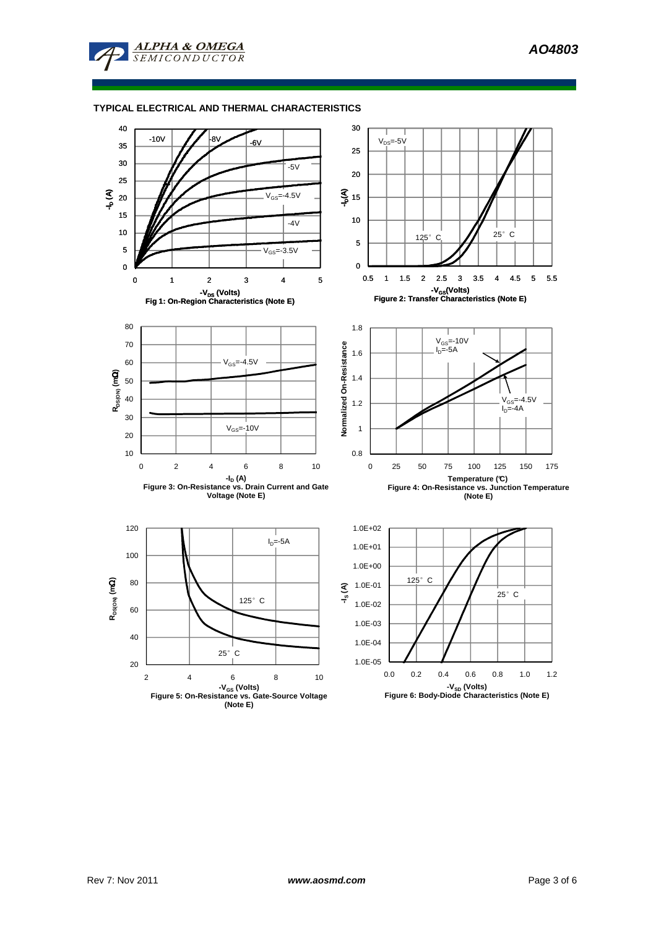

## **TYPICAL ELECTRICAL AND THERMAL CHARACTERISTICS**

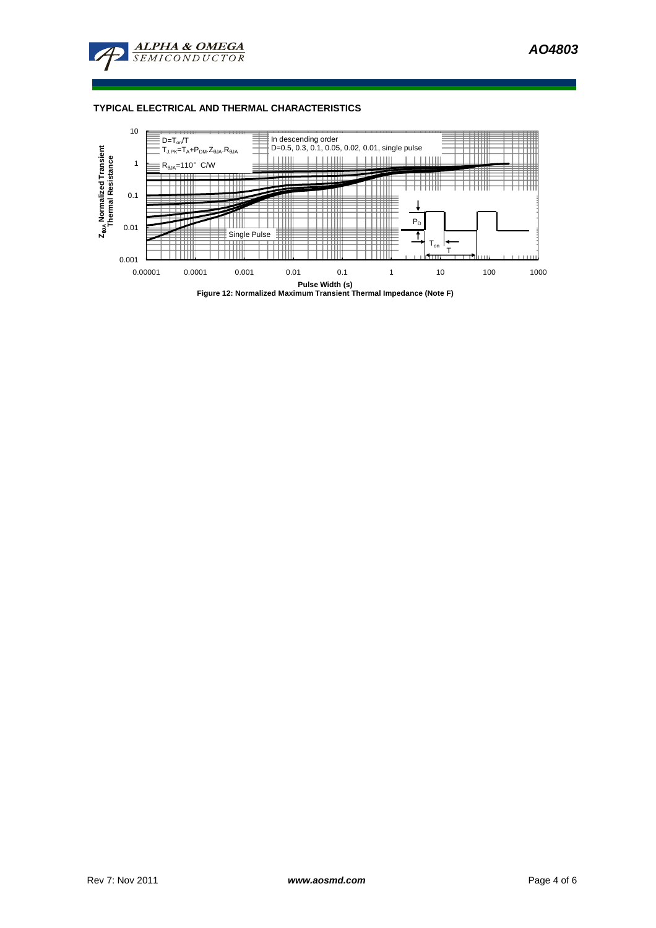

### **TYPICAL ELECTRICAL AND THERMAL CHARACTERISTICS**

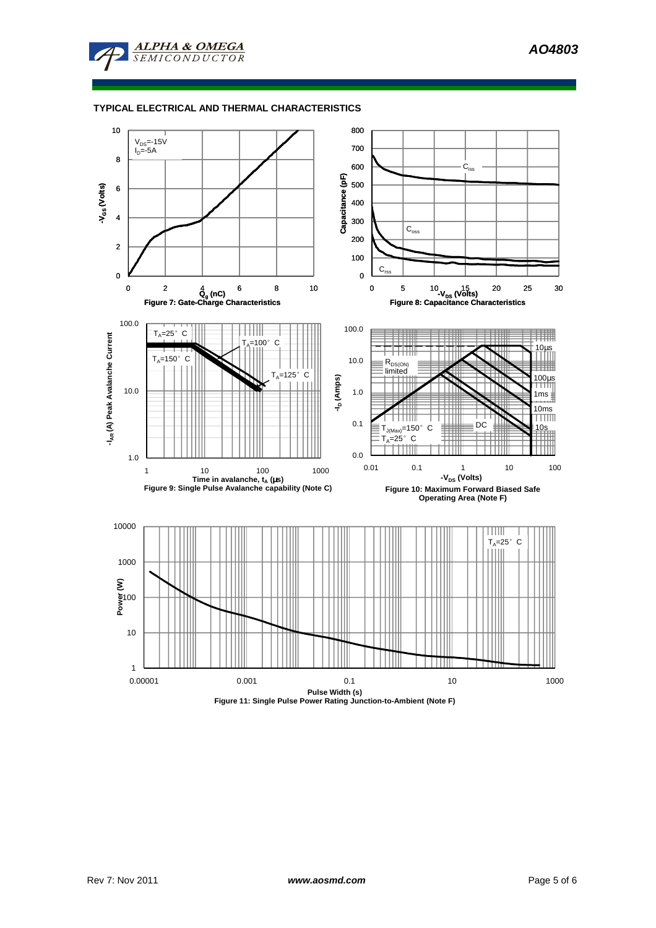

## **TYPICAL ELECTRICAL AND THERMAL CHARACTERISTICS**